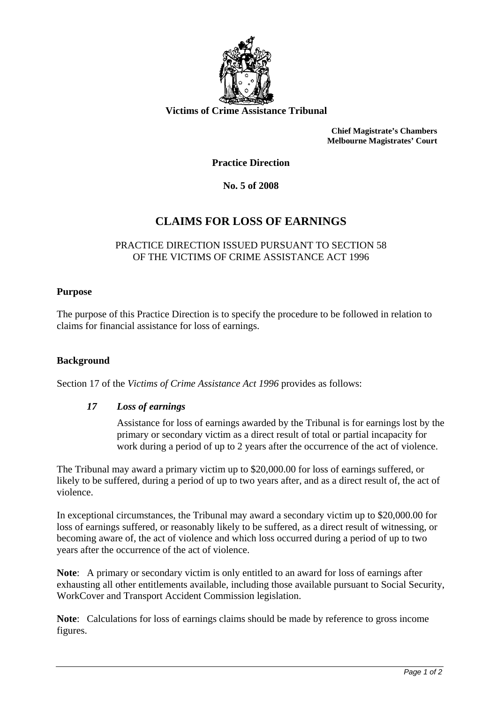

**Victims of Crime Assistance Tribunal** 

**Chief Magistrate's Chambers Melbourne Magistrates' Court** 

**Practice Direction** 

**No. 5 of 2008** 

# **CLAIMS FOR LOSS OF EARNINGS**

## PRACTICE DIRECTION ISSUED PURSUANT TO SECTION 58 OF THE VICTIMS OF CRIME ASSISTANCE ACT 1996

#### **Purpose**

The purpose of this Practice Direction is to specify the procedure to be followed in relation to claims for financial assistance for loss of earnings.

#### **Background**

Section 17 of the *Victims of Crime Assistance Act 1996* provides as follows:

## *17 Loss of earnings*

Assistance for loss of earnings awarded by the Tribunal is for earnings lost by the primary or secondary victim as a direct result of total or partial incapacity for work during a period of up to 2 years after the occurrence of the act of violence.

The Tribunal may award a primary victim up to \$20,000.00 for loss of earnings suffered, or likely to be suffered, during a period of up to two years after, and as a direct result of, the act of violence.

In exceptional circumstances, the Tribunal may award a secondary victim up to \$20,000.00 for loss of earnings suffered, or reasonably likely to be suffered, as a direct result of witnessing, or becoming aware of, the act of violence and which loss occurred during a period of up to two years after the occurrence of the act of violence.

**Note**: A primary or secondary victim is only entitled to an award for loss of earnings after exhausting all other entitlements available, including those available pursuant to Social Security, WorkCover and Transport Accident Commission legislation.

**Note**: Calculations for loss of earnings claims should be made by reference to gross income figures.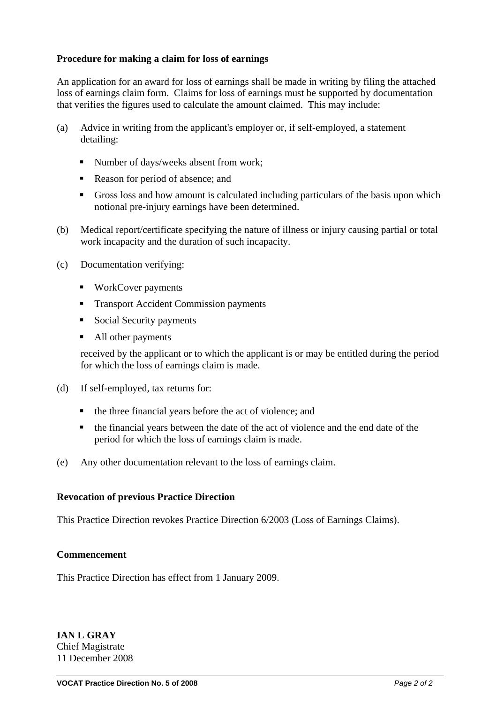## **Procedure for making a claim for loss of earnings**

An application for an award for loss of earnings shall be made in writing by filing the attached loss of earnings claim form. Claims for loss of earnings must be supported by documentation that verifies the figures used to calculate the amount claimed. This may include:

- (a) Advice in writing from the applicant's employer or, if self-employed, a statement detailing:
	- Number of days/weeks absent from work;
	- Reason for period of absence; and
	- Gross loss and how amount is calculated including particulars of the basis upon which notional pre-injury earnings have been determined.
- (b) Medical report/certificate specifying the nature of illness or injury causing partial or total work incapacity and the duration of such incapacity.
- (c) Documentation verifying:
	- WorkCover payments
	- **Transport Accident Commission payments**
	- Social Security payments
	- All other payments

received by the applicant or to which the applicant is or may be entitled during the period for which the loss of earnings claim is made.

- (d) If self-employed, tax returns for:
	- the three financial years before the act of violence; and
	- the financial years between the date of the act of violence and the end date of the period for which the loss of earnings claim is made.
- (e) Any other documentation relevant to the loss of earnings claim.

## **Revocation of previous Practice Direction**

This Practice Direction revokes Practice Direction 6/2003 (Loss of Earnings Claims).

## **Commencement**

This Practice Direction has effect from 1 January 2009.

**IAN L GRAY**  Chief Magistrate 11 December 2008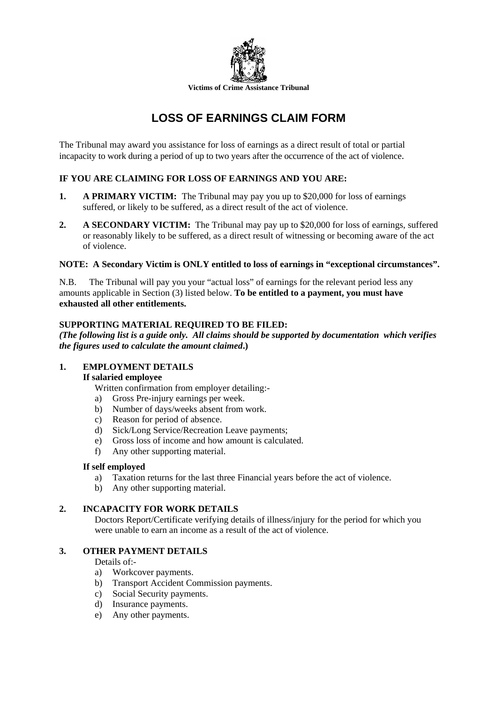

# **LOSS OF EARNINGS CLAIM FORM**

The Tribunal may award you assistance for loss of earnings as a direct result of total or partial incapacity to work during a period of up to two years after the occurrence of the act of violence.

## **IF YOU ARE CLAIMING FOR LOSS OF EARNINGS AND YOU ARE:**

- **1.** A PRIMARY VICTIM: The Tribunal may pay you up to \$20,000 for loss of earnings suffered, or likely to be suffered, as a direct result of the act of violence.
- **2. A SECONDARY VICTIM:** The Tribunal may pay up to \$20,000 for loss of earnings, suffered or reasonably likely to be suffered, as a direct result of witnessing or becoming aware of the act of violence.

## **NOTE: A Secondary Victim is ONLY entitled to loss of earnings in "exceptional circumstances".**

N.B. The Tribunal will pay you your "actual loss" of earnings for the relevant period less any amounts applicable in Section (3) listed below. **To be entitled to a payment, you must have exhausted all other entitlements.** 

#### **SUPPORTING MATERIAL REQUIRED TO BE FILED:**

*(The following list is a guide only. All claims should be supported by documentation which verifies the figures used to calculate the amount claimed***.)** 

## **1. EMPLOYMENT DETAILS**

#### **If salaried employee**

Written confirmation from employer detailing:-

- a) Gross Pre-injury earnings per week.
- b) Number of days/weeks absent from work.
- c) Reason for period of absence.
- d) Sick/Long Service/Recreation Leave payments;
- e) Gross loss of income and how amount is calculated.
- f) Any other supporting material.

#### **If self employed**

- a) Taxation returns for the last three Financial years before the act of violence.
- b) Any other supporting material.

## **2. INCAPACITY FOR WORK DETAILS**

Doctors Report/Certificate verifying details of illness/injury for the period for which you were unable to earn an income as a result of the act of violence.

## **3. OTHER PAYMENT DETAILS**

Details of:-

- a) Workcover payments.
- b) Transport Accident Commission payments.
- c) Social Security payments.
- d) Insurance payments.
- e) Any other payments.